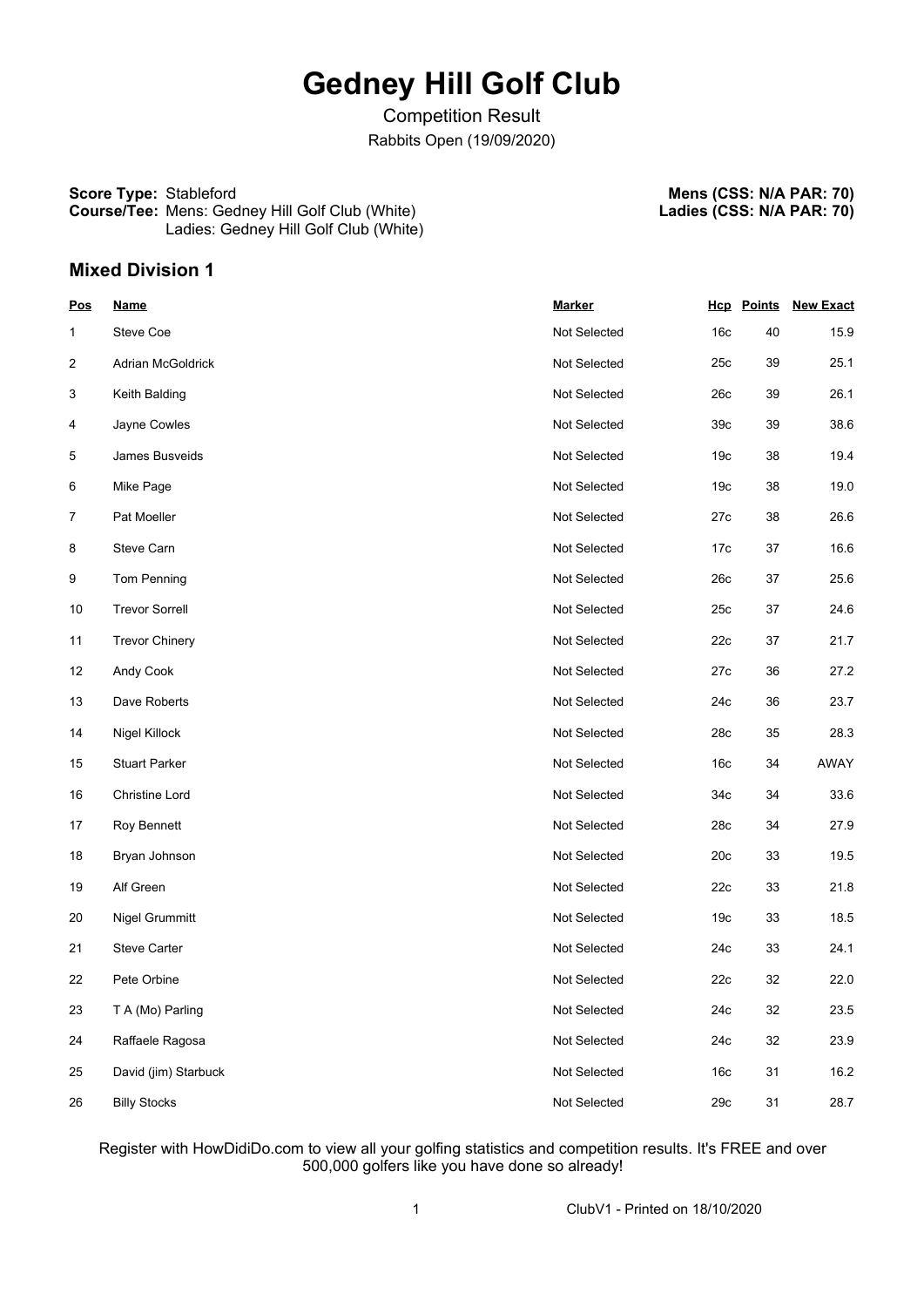# **Gedney Hill Golf Club**

Competition Result Rabbits Open (19/09/2020)

#### **Score Type:** Stableford **Course/Tee:** Mens: Gedney Hill Golf Club (White) Ladies: Gedney Hill Golf Club (White)

**Mens (CSS: N/A PAR: 70) Ladies (CSS: N/A PAR: 70)**

# **Mixed Division 1**

| <b>Pos</b>     | <b>Name</b>           | <b>Marker</b> |                 | <b>Hcp</b> Points | <b>New Exact</b> |
|----------------|-----------------------|---------------|-----------------|-------------------|------------------|
| 1              | Steve Coe             | Not Selected  | 16c             | 40                | 15.9             |
| $\overline{c}$ | Adrian McGoldrick     | Not Selected  | 25c             | 39                | 25.1             |
| 3              | Keith Balding         | Not Selected  | 26c             | 39                | 26.1             |
| 4              | Jayne Cowles          | Not Selected  | 39 <sub>c</sub> | 39                | 38.6             |
| 5              | James Busveids        | Not Selected  | 19 <sub>c</sub> | 38                | 19.4             |
| 6              | Mike Page             | Not Selected  | 19 <sub>c</sub> | 38                | 19.0             |
| $\overline{7}$ | Pat Moeller           | Not Selected  | 27c             | 38                | 26.6             |
| 8              | Steve Carn            | Not Selected  | 17 <sub>c</sub> | 37                | 16.6             |
| 9              | Tom Penning           | Not Selected  | 26c             | 37                | 25.6             |
| 10             | <b>Trevor Sorrell</b> | Not Selected  | 25c             | 37                | 24.6             |
| 11             | <b>Trevor Chinery</b> | Not Selected  | 22c             | 37                | 21.7             |
| 12             | Andy Cook             | Not Selected  | 27c             | 36                | 27.2             |
| 13             | Dave Roberts          | Not Selected  | 24c             | 36                | 23.7             |
| 14             | Nigel Killock         | Not Selected  | 28c             | 35                | 28.3             |
| 15             | <b>Stuart Parker</b>  | Not Selected  | 16 <sub>c</sub> | 34                | AWAY             |
| 16             | Christine Lord        | Not Selected  | 34c             | 34                | 33.6             |
| 17             | Roy Bennett           | Not Selected  | 28c             | 34                | 27.9             |
| 18             | Bryan Johnson         | Not Selected  | 20c             | 33                | 19.5             |
| 19             | Alf Green             | Not Selected  | 22c             | 33                | 21.8             |
| 20             | Nigel Grummitt        | Not Selected  | 19 <sub>c</sub> | 33                | 18.5             |
| 21             | <b>Steve Carter</b>   | Not Selected  | 24c             | 33                | 24.1             |
| 22             | Pete Orbine           | Not Selected  | 22c             | 32                | 22.0             |
| 23             | T A (Mo) Parling      | Not Selected  | 24c             | 32                | 23.5             |
| 24             | Raffaele Ragosa       | Not Selected  | 24c             | 32                | 23.9             |
| 25             | David (jim) Starbuck  | Not Selected  | 16 <sub>c</sub> | 31                | 16.2             |
| 26             | <b>Billy Stocks</b>   | Not Selected  | 29c             | 31                | 28.7             |

Register with HowDidiDo.com to view all your golfing statistics and competition results. It's FREE and over 500,000 golfers like you have done so already!